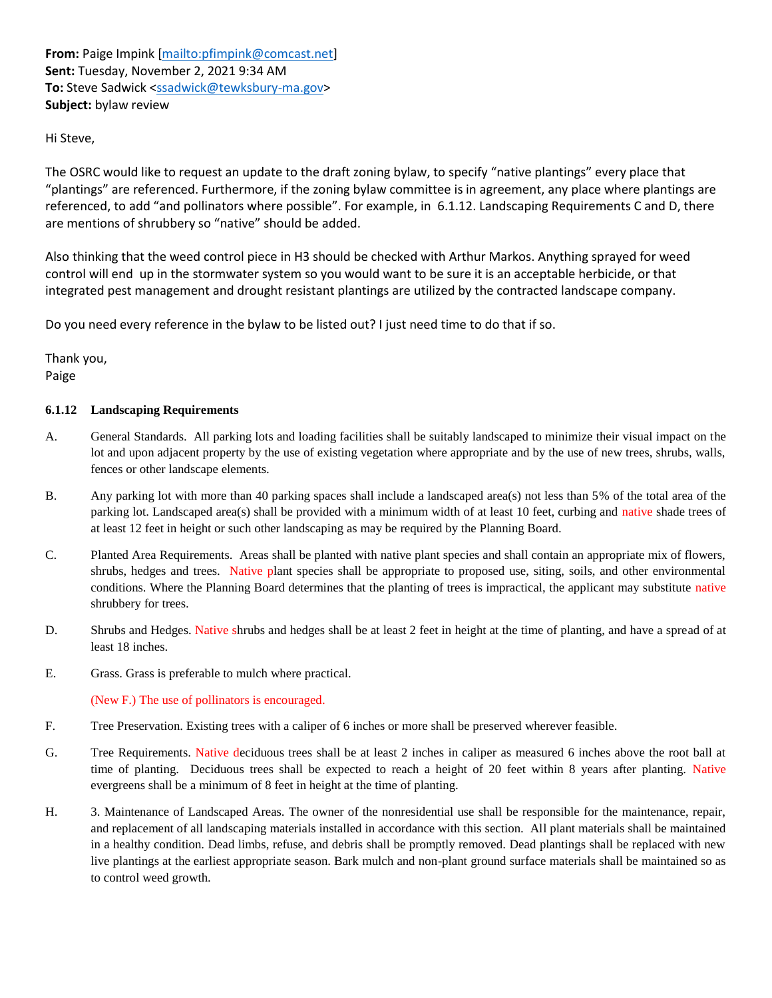**From:** Paige Impink [\[mailto:pfimpink@comcast.net\]](mailto:pfimpink@comcast.net) **Sent:** Tuesday, November 2, 2021 9:34 AM **To:** Steve Sadwick [<ssadwick@tewksbury-ma.gov>](mailto:ssadwick@tewksbury-ma.gov) **Subject:** bylaw review

# Hi Steve,

The OSRC would like to request an update to the draft zoning bylaw, to specify "native plantings" every place that "plantings" are referenced. Furthermore, if the zoning bylaw committee is in agreement, any place where plantings are referenced, to add "and pollinators where possible". For example, in 6.1.12. Landscaping Requirements C and D, there are mentions of shrubbery so "native" should be added.

Also thinking that the weed control piece in H3 should be checked with Arthur Markos. Anything sprayed for weed control will end up in the stormwater system so you would want to be sure it is an acceptable herbicide, or that integrated pest management and drought resistant plantings are utilized by the contracted landscape company.

Do you need every reference in the bylaw to be listed out? I just need time to do that if so.

Thank you, Paige

#### **6.1.12 Landscaping Requirements**

- A. General Standards. All parking lots and loading facilities shall be suitably landscaped to minimize their visual impact on the lot and upon adjacent property by the use of existing vegetation where appropriate and by the use of new trees, shrubs, walls, fences or other landscape elements.
- B. Any parking lot with more than 40 parking spaces shall include a landscaped area(s) not less than 5% of the total area of the parking lot. Landscaped area(s) shall be provided with a minimum width of at least 10 feet, curbing and native shade trees of at least 12 feet in height or such other landscaping as may be required by the Planning Board.
- C. Planted Area Requirements. Areas shall be planted with native plant species and shall contain an appropriate mix of flowers, shrubs, hedges and trees. Native plant species shall be appropriate to proposed use, siting, soils, and other environmental conditions. Where the Planning Board determines that the planting of trees is impractical, the applicant may substitute native shrubbery for trees.
- D. Shrubs and Hedges. Native shrubs and hedges shall be at least 2 feet in height at the time of planting, and have a spread of at least 18 inches.
- E. Grass. Grass is preferable to mulch where practical.

(New F.) The use of pollinators is encouraged.

- F. Tree Preservation. Existing trees with a caliper of 6 inches or more shall be preserved wherever feasible.
- G. Tree Requirements. Native deciduous trees shall be at least 2 inches in caliper as measured 6 inches above the root ball at time of planting. Deciduous trees shall be expected to reach a height of 20 feet within 8 years after planting. Native evergreens shall be a minimum of 8 feet in height at the time of planting.
- H. 3. Maintenance of Landscaped Areas. The owner of the nonresidential use shall be responsible for the maintenance, repair, and replacement of all landscaping materials installed in accordance with this section. All plant materials shall be maintained in a healthy condition. Dead limbs, refuse, and debris shall be promptly removed. Dead plantings shall be replaced with new live plantings at the earliest appropriate season. Bark mulch and non-plant ground surface materials shall be maintained so as to control weed growth.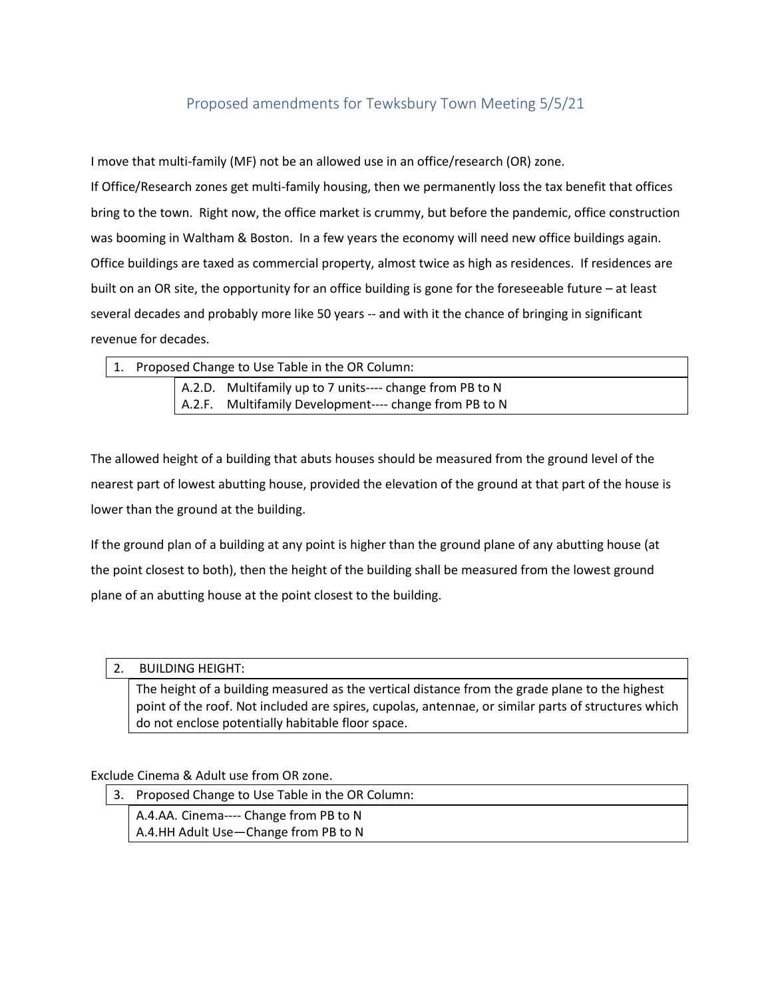# Proposed amendments for Tewksbury Town Meeting 5/5/21

I move that multi-family (MF) not be an allowed use in an office/research (OR) zone.

If Office/Research zones get multi-family housing, then we permanently loss the tax benefit that offices bring to the town. Right now, the office market is crummy, but before the pandemic, office construction was booming in Waltham & Boston. In a few years the economy will need new office buildings again. Office buildings are taxed as commercial property, almost twice as high as residences. If residences are built on an OR site, the opportunity for an office building is gone for the foreseeable future – at least several decades and probably more like 50 years -- and with it the chance of bringing in significant revenue for decades.

| 1. Proposed Change to Use Table in the OR Column: |  |                                                          |
|---------------------------------------------------|--|----------------------------------------------------------|
|                                                   |  | A.2.D. Multifamily up to 7 units---- change from PB to N |
|                                                   |  | A.2.F. Multifamily Development---- change from PB to N   |

The allowed height of a building that abuts houses should be measured from the ground level of the nearest part of lowest abutting house, provided the elevation of the ground at that part of the house is lower than the ground at the building.

If the ground plan of a building at any point is higher than the ground plane of any abutting house (at the point closest to both), then the height of the building shall be measured from the lowest ground plane of an abutting house at the point closest to the building.

# 2. BUILDING HEIGHT:

The height of a building measured as the vertical distance from the grade plane to the highest point of the roof. Not included are spires, cupolas, antennae, or similar parts of structures which do not enclose potentially habitable floor space.

# Exclude Cinema & Adult use from OR zone.

| 3. Proposed Change to Use Table in the OR Column: |
|---------------------------------------------------|
| A.4.AA. Cinema---- Change from PB to N            |
| A.4.HH Adult Use - Change from PB to N            |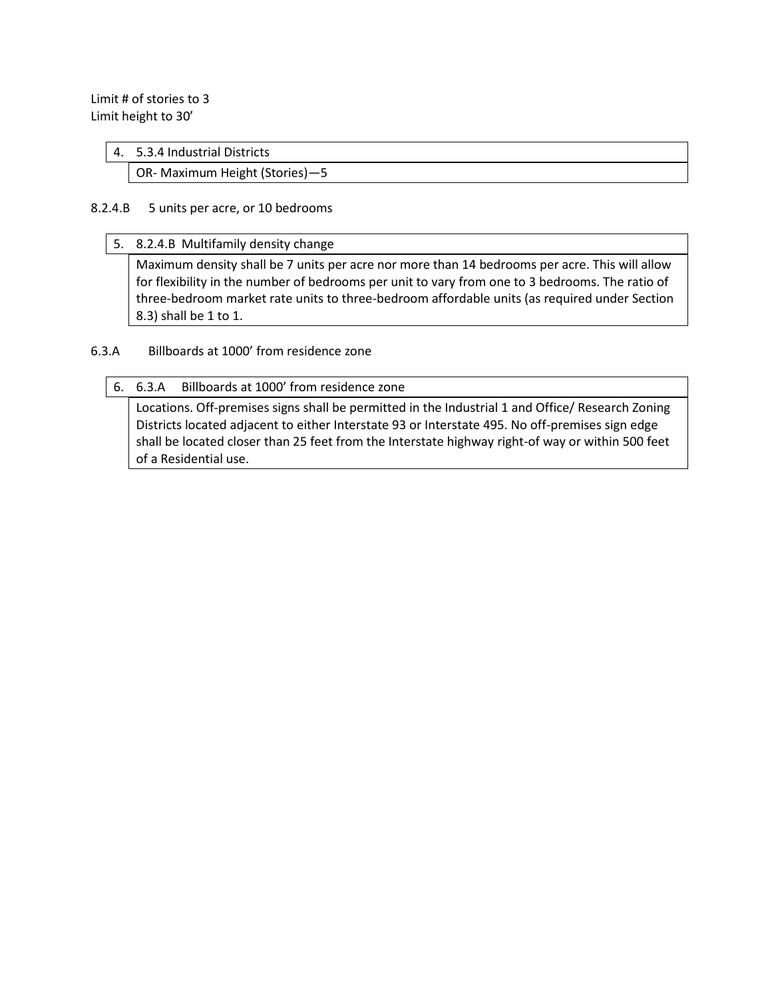Limit # of stories to 3 Limit height to 30'

#### 4. 5.3.4 Industrial Districts

OR- Maximum Height (Stories)—5

#### 8.2.4.B 5 units per acre, or 10 bedrooms

5. 8.2.4.B Multifamily density change

Maximum density shall be 7 units per acre nor more than 14 bedrooms per acre. This will allow for flexibility in the number of bedrooms per unit to vary from one to 3 bedrooms. The ratio of three-bedroom market rate units to three-bedroom affordable units (as required under Section 8.3) shall be 1 to 1.

# 6.3.A Billboards at 1000' from residence zone

#### 6. 6.3.A Billboards at 1000' from residence zone

Locations. Off-premises signs shall be permitted in the Industrial 1 and Office/ Research Zoning Districts located adjacent to either Interstate 93 or Interstate 495. No off-premises sign edge shall be located closer than 25 feet from the Interstate highway right-of way or within 500 feet of a Residential use.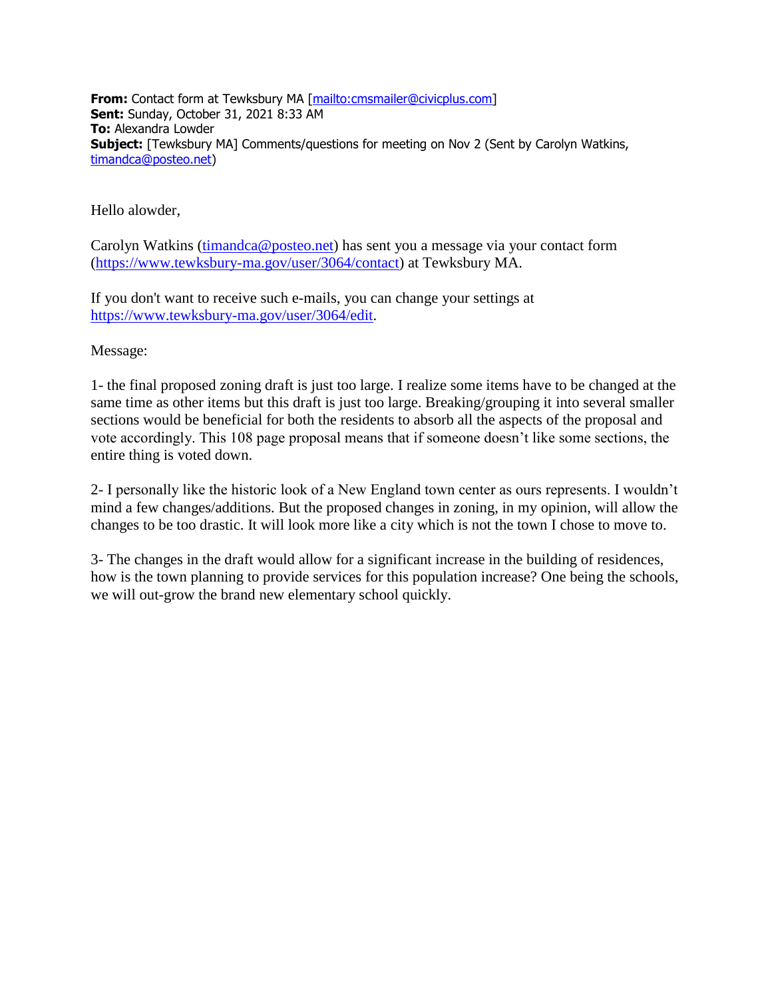**From:** Contact form at Tewksbury MA [\[mailto:cmsmailer@civicplus.com\]](mailto:cmsmailer@civicplus.com) **Sent:** Sunday, October 31, 2021 8:33 AM **To:** Alexandra Lowder **Subject:** [Tewksbury MA] Comments/questions for meeting on Nov 2 (Sent by Carolyn Watkins, [timandca@posteo.net\)](mailto:timandca@posteo.net)

Hello alowder,

Carolyn Watkins [\(timandca@posteo.net\)](mailto:timandca@posteo.net) has sent you a message via your contact form [\(https://www.tewksbury-ma.gov/user/3064/contact\)](https://www.tewksbury-ma.gov/user/3064/contact) at Tewksbury MA.

If you don't want to receive such e-mails, you can change your settings at [https://www.tewksbury-ma.gov/user/3064/edit.](https://www.tewksbury-ma.gov/user/3064/edit)

Message:

1- the final proposed zoning draft is just too large. I realize some items have to be changed at the same time as other items but this draft is just too large. Breaking/grouping it into several smaller sections would be beneficial for both the residents to absorb all the aspects of the proposal and vote accordingly. This 108 page proposal means that if someone doesn't like some sections, the entire thing is voted down.

2- I personally like the historic look of a New England town center as ours represents. I wouldn't mind a few changes/additions. But the proposed changes in zoning, in my opinion, will allow the changes to be too drastic. It will look more like a city which is not the town I chose to move to.

3- The changes in the draft would allow for a significant increase in the building of residences, how is the town planning to provide services for this population increase? One being the schools, we will out-grow the brand new elementary school quickly.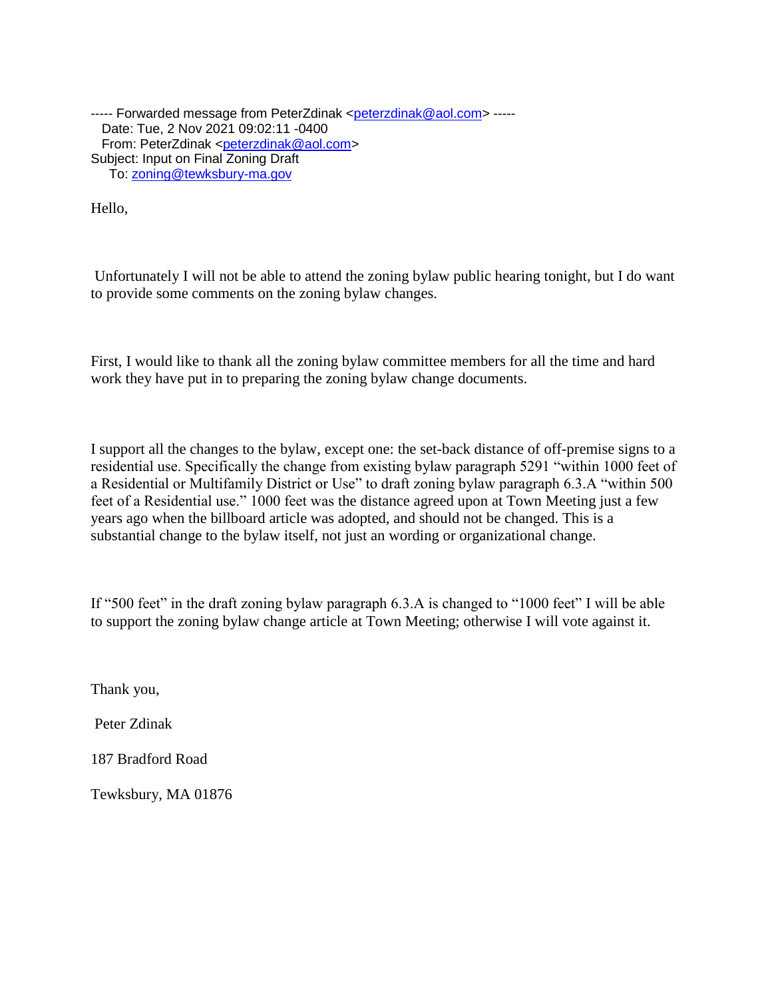----- Forwarded message from PeterZdinak [<peterzdinak@aol.com>](mailto:peterzdinak@aol.com) -----Date: Tue, 2 Nov 2021 09:02:11 -0400 From: PeterZdinak [<peterzdinak@aol.com>](mailto:peterzdinak@aol.com) Subject: Input on Final Zoning Draft To: [zoning@tewksbury-ma.gov](mailto:zoning@tewksbury-ma.gov)

Hello,

Unfortunately I will not be able to attend the zoning bylaw public hearing tonight, but I do want to provide some comments on the zoning bylaw changes.

First, I would like to thank all the zoning bylaw committee members for all the time and hard work they have put in to preparing the zoning bylaw change documents.

I support all the changes to the bylaw, except one: the set-back distance of off-premise signs to a residential use. Specifically the change from existing bylaw paragraph 5291 "within 1000 feet of a Residential or Multifamily District or Use" to draft zoning bylaw paragraph 6.3.A "within 500 feet of a Residential use." 1000 feet was the distance agreed upon at Town Meeting just a few years ago when the billboard article was adopted, and should not be changed. This is a substantial change to the bylaw itself, not just an wording or organizational change.

If "500 feet" in the draft zoning bylaw paragraph 6.3.A is changed to "1000 feet" I will be able to support the zoning bylaw change article at Town Meeting; otherwise I will vote against it.

Thank you,

Peter Zdinak

187 Bradford Road

Tewksbury, MA 01876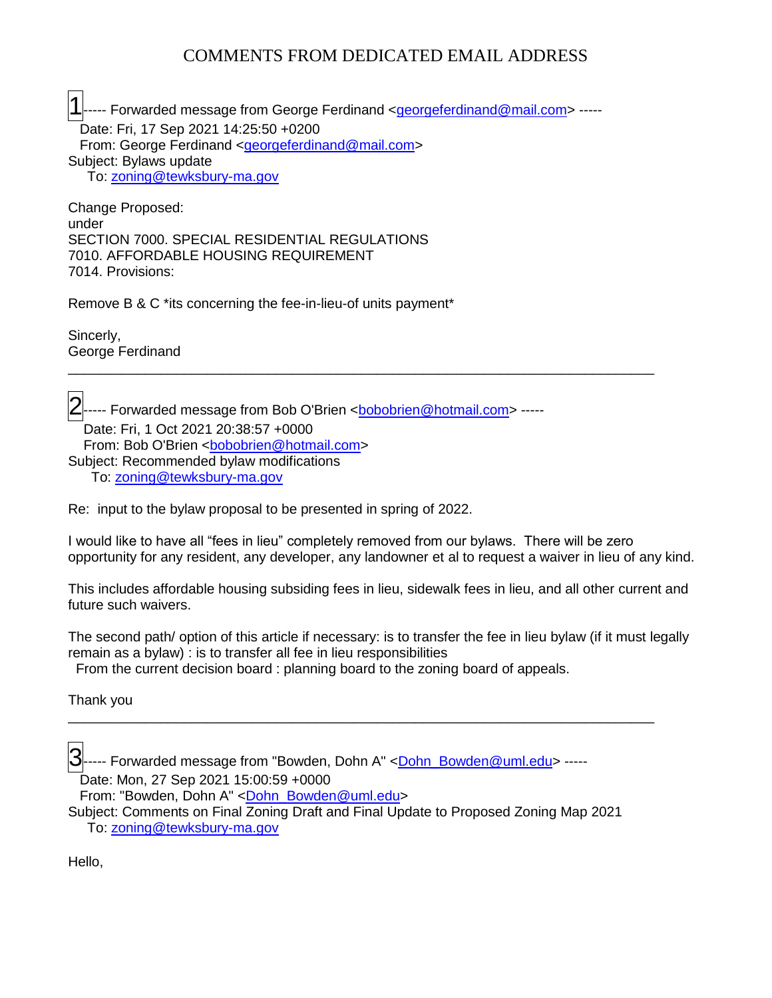# COMMENTS FROM DEDICATED EMAIL ADDRESS

1..... Forwarded message from George Ferdinand <<u>georgeferdinand@mail.com</u>> -----Date: Fri, 17 Sep 2021 14:25:50 +0200 From: George Ferdinand [<georgeferdinand@mail.com>](mailto:georgeferdinand@mail.com) Subject: Bylaws update To: [zoning@tewksbury-ma.gov](mailto:zoning@tewksbury-ma.gov)

Change Proposed: under SECTION 7000. SPECIAL RESIDENTIAL REGULATIONS 7010. AFFORDABLE HOUSING REQUIREMENT 7014. Provisions:

Remove B & C \*its concerning the fee-in-lieu-of units payment\*

Sincerly, George Ferdinand

--- Forwarded message from Bob O'Brien <<u>bobobrien@hotmail.com</u>> ----- Date: Fri, 1 Oct 2021 20:38:57 +0000 From: Bob O'Brien <br />
cobobrien@hotmail.com> Subject: Recommended bylaw modifications To: [zoning@tewksbury-ma.gov](mailto:zoning@tewksbury-ma.gov)

Re: input to the bylaw proposal to be presented in spring of 2022.

I would like to have all "fees in lieu" completely removed from our bylaws. There will be zero opportunity for any resident, any developer, any landowner et al to request a waiver in lieu of any kind.

\_\_\_\_\_\_\_\_\_\_\_\_\_\_\_\_\_\_\_\_\_\_\_\_\_\_\_\_\_\_\_\_\_\_\_\_\_\_\_\_\_\_\_\_\_\_\_\_\_\_\_\_\_\_\_\_\_\_\_\_\_\_\_\_\_\_\_\_\_\_\_\_\_\_\_\_

This includes affordable housing subsiding fees in lieu, sidewalk fees in lieu, and all other current and future such waivers.

The second path/ option of this article if necessary: is to transfer the fee in lieu bylaw (if it must legally remain as a bylaw) : is to transfer all fee in lieu responsibilities From the current decision board : planning board to the zoning board of appeals.

\_\_\_\_\_\_\_\_\_\_\_\_\_\_\_\_\_\_\_\_\_\_\_\_\_\_\_\_\_\_\_\_\_\_\_\_\_\_\_\_\_\_\_\_\_\_\_\_\_\_\_\_\_\_\_\_\_\_\_\_\_\_\_\_\_\_\_\_\_\_\_\_\_\_\_\_

Thank you

 $\left|3\right|$ ----- Forwarded message from "Bowden, Dohn A" <<u>Dohn\_Bowden@uml.edu</u>> -----

Date: Mon, 27 Sep 2021 15:00:59 +0000

From: "Bowden, Dohn A" [<Dohn\\_Bowden@uml.edu>](mailto:Dohn_Bowden@uml.edu)

Subject: Comments on Final Zoning Draft and Final Update to Proposed Zoning Map 2021 To: [zoning@tewksbury-ma.gov](mailto:zoning@tewksbury-ma.gov)

Hello,